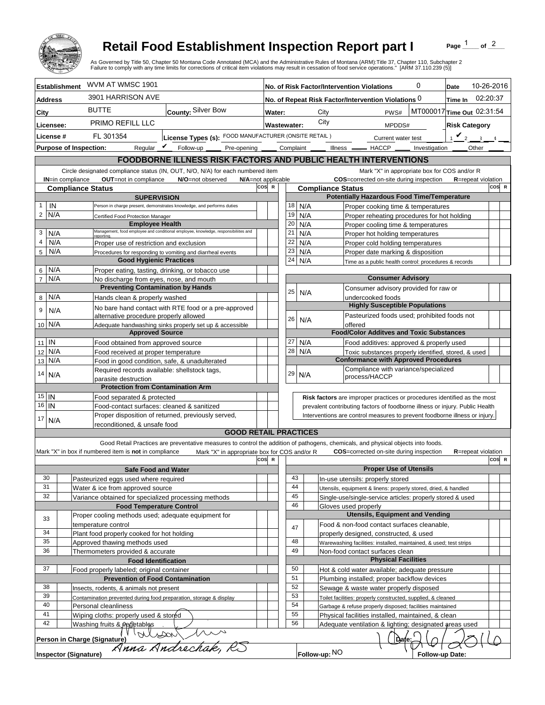

## **Retail Food Establishment Inspection Report part I**

Page  $\frac{1}{1}$  of  $\frac{2}{1}$ 

|                                 |                                                                                                                                                                  |                                                                                      | <b>Retail Food Establishment Inspection Report part I</b><br>As Governed by Title 50, Chapter 50 Montana Code Annotated (MCA) and the Administrative Rules of Montana (ARM):Title 37, Chapter 110, Subchapter 2<br>Failure to comply with any time limits for corrections of critical item violations may result in cessation of food service operations." [ARM 37.110.239 (5)] |                                                      |                                                                                                                          |                                                                   |                              |                              |                    |                                                                                         |                                        |                                  |                                                                                                                 | Page |                            | of $^2$ |  |
|---------------------------------|------------------------------------------------------------------------------------------------------------------------------------------------------------------|--------------------------------------------------------------------------------------|---------------------------------------------------------------------------------------------------------------------------------------------------------------------------------------------------------------------------------------------------------------------------------------------------------------------------------------------------------------------------------|------------------------------------------------------|--------------------------------------------------------------------------------------------------------------------------|-------------------------------------------------------------------|------------------------------|------------------------------|--------------------|-----------------------------------------------------------------------------------------|----------------------------------------|----------------------------------|-----------------------------------------------------------------------------------------------------------------|------|----------------------------|---------|--|
|                                 | <b>Establishment</b>                                                                                                                                             | WVM AT WMSC 1901                                                                     |                                                                                                                                                                                                                                                                                                                                                                                 |                                                      |                                                                                                                          |                                                                   |                              |                              |                    |                                                                                         |                                        |                                  | 0                                                                                                               | Date | 10-26-2016                 |         |  |
| <b>Address</b>                  |                                                                                                                                                                  | 3901 HARRISON AVE                                                                    |                                                                                                                                                                                                                                                                                                                                                                                 |                                                      | No. of Risk Factor/Intervention Violations<br>02:20:37<br>No. of Repeat Risk Factor/Intervention Violations 0<br>Time In |                                                                   |                              |                              |                    |                                                                                         |                                        |                                  |                                                                                                                 |      |                            |         |  |
|                                 | <b>BUTTE</b><br>County: Silver Bow                                                                                                                               |                                                                                      |                                                                                                                                                                                                                                                                                                                                                                                 | MT000017 Time Out 02:31:54<br>PWS#<br>Water:<br>City |                                                                                                                          |                                                                   |                              |                              |                    |                                                                                         |                                        |                                  |                                                                                                                 |      |                            |         |  |
| City<br><b>PRIMO REFILL LLC</b> |                                                                                                                                                                  |                                                                                      | City                                                                                                                                                                                                                                                                                                                                                                            |                                                      |                                                                                                                          |                                                                   |                              |                              |                    |                                                                                         |                                        |                                  |                                                                                                                 |      |                            |         |  |
| Licensee:                       |                                                                                                                                                                  |                                                                                      |                                                                                                                                                                                                                                                                                                                                                                                 |                                                      |                                                                                                                          |                                                                   | <b>Wastewater:</b><br>MPDDS# |                              |                    |                                                                                         | <b>Risk Category</b>                   |                                  |                                                                                                                 |      |                            |         |  |
| License #                       |                                                                                                                                                                  | License Types (s): FOOD MANUFACTURER (ONSITE RETAIL)<br>FL 301354                    |                                                                                                                                                                                                                                                                                                                                                                                 |                                                      | Complaint                                                                                                                |                                                                   |                              |                              | Current water test |                                                                                         |                                        | $\mathbf{v}_2$<br>$\overline{3}$ |                                                                                                                 |      |                            |         |  |
|                                 | <b>Purpose of Inspection:</b>                                                                                                                                    |                                                                                      | Requiar $\mathbf{\nabla}$ Follow-up<br>Pre-opening                                                                                                                                                                                                                                                                                                                              |                                                      |                                                                                                                          |                                                                   |                              | ____ Illness ____ HACCP ____ |                    |                                                                                         |                                        |                                  | Investigation                                                                                                   |      | Other                      |         |  |
|                                 |                                                                                                                                                                  |                                                                                      | <b>FOODBORNE ILLNESS RISK FACTORS AND PUBLIC HEALTH INTERVENTIONS</b><br>Circle designated compliance status (IN, OUT, N/O, N/A) for each numbered item                                                                                                                                                                                                                         |                                                      |                                                                                                                          |                                                                   |                              |                              |                    |                                                                                         |                                        |                                  |                                                                                                                 |      |                            |         |  |
|                                 |                                                                                                                                                                  | N/A=not applicable                                                                   |                                                                                                                                                                                                                                                                                                                                                                                 |                                                      |                                                                                                                          |                                                                   |                              |                              |                    | Mark "X" in appropriate box for COS and/or R<br>COS=corrected on-site during inspection |                                        | <b>R</b> =repeat violation       |                                                                                                                 |      |                            |         |  |
|                                 | <b>IN=in compliance</b>                                                                                                                                          | OUT=not in compliance<br><b>Compliance Status</b>                                    | N/O=not observed                                                                                                                                                                                                                                                                                                                                                                | cos                                                  | $\mathbb{R}$                                                                                                             |                                                                   |                              | <b>Compliance Status</b>     |                    |                                                                                         |                                        |                                  |                                                                                                                 |      |                            | COS R   |  |
|                                 |                                                                                                                                                                  | <b>SUPERVISION</b>                                                                   |                                                                                                                                                                                                                                                                                                                                                                                 |                                                      |                                                                                                                          |                                                                   |                              |                              |                    |                                                                                         |                                        |                                  | <b>Potentially Hazardous Food Time/Temperature</b>                                                              |      |                            |         |  |
| IN<br>$\mathbf{1}$              |                                                                                                                                                                  |                                                                                      | Person in charge present, demonstrates knowledge, and performs duties                                                                                                                                                                                                                                                                                                           |                                                      |                                                                                                                          | 18                                                                | N/A                          |                              |                    |                                                                                         |                                        |                                  | Proper cooking time & temperatures                                                                              |      |                            |         |  |
| $\overline{2}$<br>N/A           |                                                                                                                                                                  | Certified Food Protection Manager                                                    |                                                                                                                                                                                                                                                                                                                                                                                 |                                                      |                                                                                                                          | 19                                                                | N/A                          |                              |                    |                                                                                         |                                        |                                  | Proper reheating procedures for hot holding                                                                     |      |                            |         |  |
| 3<br>N/A                        |                                                                                                                                                                  | <b>Employee Health</b>                                                               | Management, food employee and conditional employee, knowledge, responsibiliites and                                                                                                                                                                                                                                                                                             |                                                      |                                                                                                                          | 20<br>21                                                          | N/A<br>N/A                   |                              |                    |                                                                                         |                                        |                                  | Proper cooling time & temperatures<br>Proper hot holding temperatures                                           |      |                            |         |  |
| $\overline{\mathbf{4}}$<br>N/A  |                                                                                                                                                                  | reportina.<br>Proper use of restriction and exclusion                                |                                                                                                                                                                                                                                                                                                                                                                                 |                                                      |                                                                                                                          | 22                                                                | N/A                          |                              |                    |                                                                                         |                                        |                                  | Proper cold holding temperatures                                                                                |      |                            |         |  |
| 5<br>N/A                        |                                                                                                                                                                  |                                                                                      | Procedures for responding to vomiting and diarrheal events                                                                                                                                                                                                                                                                                                                      |                                                      |                                                                                                                          | 23                                                                | N/A                          |                              |                    |                                                                                         |                                        |                                  | Proper date marking & disposition                                                                               |      |                            |         |  |
|                                 |                                                                                                                                                                  | <b>Good Hygienic Practices</b>                                                       |                                                                                                                                                                                                                                                                                                                                                                                 |                                                      |                                                                                                                          | 24                                                                | N/A                          |                              |                    |                                                                                         |                                        |                                  | Time as a public health control: procedures & records                                                           |      |                            |         |  |
| N/A<br>6                        |                                                                                                                                                                  | Proper eating, tasting, drinking, or tobacco use                                     |                                                                                                                                                                                                                                                                                                                                                                                 |                                                      |                                                                                                                          |                                                                   |                              |                              |                    |                                                                                         |                                        |                                  |                                                                                                                 |      |                            |         |  |
| $\overline{7}$<br>N/A           |                                                                                                                                                                  | No discharge from eyes, nose, and mouth<br><b>Preventing Contamination by Hands</b>  |                                                                                                                                                                                                                                                                                                                                                                                 |                                                      |                                                                                                                          | <b>Consumer Advisory</b><br>Consumer advisory provided for raw or |                              |                              |                    |                                                                                         |                                        |                                  |                                                                                                                 |      |                            |         |  |
| N/A<br>8                        |                                                                                                                                                                  | Hands clean & properly washed                                                        |                                                                                                                                                                                                                                                                                                                                                                                 |                                                      |                                                                                                                          | 25                                                                | N/A                          |                              |                    |                                                                                         | undercooked foods                      |                                  |                                                                                                                 |      |                            |         |  |
| 9                               |                                                                                                                                                                  |                                                                                      | No bare hand contact with RTE food or a pre-approved                                                                                                                                                                                                                                                                                                                            |                                                      |                                                                                                                          |                                                                   |                              |                              |                    |                                                                                         |                                        |                                  | <b>Highly Susceptible Populations</b>                                                                           |      |                            |         |  |
| N/A                             |                                                                                                                                                                  | alternative procedure properly allowed                                               |                                                                                                                                                                                                                                                                                                                                                                                 |                                                      |                                                                                                                          | 26                                                                |                              |                              |                    |                                                                                         |                                        |                                  | Pasteurized foods used; prohibited foods not                                                                    |      |                            |         |  |
| 10 N/A                          |                                                                                                                                                                  |                                                                                      | Adequate handwashing sinks properly set up & accessible                                                                                                                                                                                                                                                                                                                         |                                                      |                                                                                                                          |                                                                   | N/A                          |                              |                    | offered                                                                                 |                                        |                                  |                                                                                                                 |      |                            |         |  |
|                                 |                                                                                                                                                                  | <b>Approved Source</b>                                                               |                                                                                                                                                                                                                                                                                                                                                                                 |                                                      |                                                                                                                          |                                                                   |                              |                              |                    |                                                                                         |                                        |                                  | <b>Food/Color Additves and Toxic Substances</b>                                                                 |      |                            |         |  |
| $11$ IN<br>N/A                  |                                                                                                                                                                  | Food obtained from approved source                                                   |                                                                                                                                                                                                                                                                                                                                                                                 |                                                      |                                                                                                                          | 27<br>28                                                          | N/A                          |                              |                    |                                                                                         |                                        |                                  | Food additives: approved & properly used                                                                        |      |                            |         |  |
| 12<br>N/A<br>13                 |                                                                                                                                                                  | Food received at proper temperature<br>Food in good condition, safe, & unadulterated |                                                                                                                                                                                                                                                                                                                                                                                 |                                                      |                                                                                                                          |                                                                   | N/A                          |                              |                    |                                                                                         |                                        |                                  | Toxic substances properly identified, stored, & used<br><b>Conformance with Approved Procedures</b>             |      |                            |         |  |
|                                 |                                                                                                                                                                  | Required records available: shellstock tags,                                         |                                                                                                                                                                                                                                                                                                                                                                                 |                                                      |                                                                                                                          |                                                                   |                              |                              |                    |                                                                                         |                                        |                                  | Compliance with variance/specialized                                                                            |      |                            |         |  |
| 14<br>N/A                       |                                                                                                                                                                  | parasite destruction                                                                 |                                                                                                                                                                                                                                                                                                                                                                                 |                                                      |                                                                                                                          | 29                                                                | N/A                          |                              |                    |                                                                                         | process/HACCP                          |                                  |                                                                                                                 |      |                            |         |  |
|                                 |                                                                                                                                                                  | <b>Protection from Contamination Arm</b>                                             |                                                                                                                                                                                                                                                                                                                                                                                 |                                                      |                                                                                                                          |                                                                   |                              |                              |                    |                                                                                         |                                        |                                  |                                                                                                                 |      |                            |         |  |
| $15$ IN                         |                                                                                                                                                                  | Food separated & protected                                                           |                                                                                                                                                                                                                                                                                                                                                                                 |                                                      |                                                                                                                          |                                                                   |                              |                              |                    |                                                                                         |                                        |                                  | Risk factors are improper practices or procedures identified as the most                                        |      |                            |         |  |
| $16$   IN                       | Food-contact surfaces: cleaned & sanitized                                                                                                                       |                                                                                      |                                                                                                                                                                                                                                                                                                                                                                                 |                                                      |                                                                                                                          |                                                                   |                              |                              |                    |                                                                                         |                                        |                                  | prevalent contributing factors of foodborne illness or injury. Public Health                                    |      |                            |         |  |
| 17<br>N/A                       | Proper disposition of returned, previously served,<br>Interventions are control measures to prevent foodborne illness or injury.<br>reconditioned, & unsafe food |                                                                                      |                                                                                                                                                                                                                                                                                                                                                                                 |                                                      |                                                                                                                          |                                                                   |                              |                              |                    |                                                                                         |                                        |                                  |                                                                                                                 |      |                            |         |  |
|                                 |                                                                                                                                                                  |                                                                                      | <b>GOOD RETAIL PRACTICES</b>                                                                                                                                                                                                                                                                                                                                                    |                                                      |                                                                                                                          |                                                                   |                              |                              |                    |                                                                                         |                                        |                                  |                                                                                                                 |      |                            |         |  |
|                                 |                                                                                                                                                                  |                                                                                      | Good Retail Practices are preventative measures to control the addition of pathogens, chemicals, and physical objects into foods.                                                                                                                                                                                                                                               |                                                      |                                                                                                                          |                                                                   |                              |                              |                    |                                                                                         |                                        |                                  |                                                                                                                 |      |                            |         |  |
|                                 |                                                                                                                                                                  | Mark "X" in box if numbered item is not in compliance                                | Mark "X" in appropriate box for COS and/or R                                                                                                                                                                                                                                                                                                                                    |                                                      |                                                                                                                          |                                                                   |                              |                              |                    |                                                                                         |                                        |                                  | <b>COS</b> =corrected on-site during inspection                                                                 |      | <b>R</b> =repeat violation |         |  |
|                                 |                                                                                                                                                                  |                                                                                      |                                                                                                                                                                                                                                                                                                                                                                                 | cosl                                                 | R                                                                                                                        |                                                                   |                              |                              |                    |                                                                                         |                                        |                                  |                                                                                                                 |      |                            | COS R   |  |
| 30                              |                                                                                                                                                                  | <b>Safe Food and Water</b><br>Pasteurized eggs used where required                   |                                                                                                                                                                                                                                                                                                                                                                                 |                                                      |                                                                                                                          | 43                                                                |                              |                              |                    |                                                                                         | <b>Proper Use of Utensils</b>          |                                  |                                                                                                                 |      |                            |         |  |
| 31                              |                                                                                                                                                                  | Water & ice from approved source                                                     |                                                                                                                                                                                                                                                                                                                                                                                 |                                                      |                                                                                                                          | 44                                                                |                              |                              |                    |                                                                                         | In-use utensils: properly stored       |                                  | Utensils, equipment & linens: properly stored, dried, & handled                                                 |      |                            |         |  |
| 32                              |                                                                                                                                                                  | Variance obtained for specialized processing methods                                 |                                                                                                                                                                                                                                                                                                                                                                                 |                                                      |                                                                                                                          | 45                                                                |                              |                              |                    |                                                                                         |                                        |                                  | Single-use/single-service articles: properly stored & used                                                      |      |                            |         |  |
|                                 |                                                                                                                                                                  | <b>Food Temperature Control</b>                                                      |                                                                                                                                                                                                                                                                                                                                                                                 |                                                      |                                                                                                                          | 46                                                                |                              |                              |                    | Gloves used properly                                                                    |                                        |                                  |                                                                                                                 |      |                            |         |  |
| 33                              |                                                                                                                                                                  | Proper cooling methods used; adequate equipment for                                  |                                                                                                                                                                                                                                                                                                                                                                                 |                                                      |                                                                                                                          |                                                                   |                              |                              |                    |                                                                                         |                                        |                                  | <b>Utensils, Equipment and Vending</b>                                                                          |      |                            |         |  |
|                                 |                                                                                                                                                                  | temperature control                                                                  |                                                                                                                                                                                                                                                                                                                                                                                 |                                                      |                                                                                                                          | 47                                                                |                              |                              |                    |                                                                                         |                                        |                                  | Food & non-food contact surfaces cleanable,                                                                     |      |                            |         |  |
| 34<br>35                        |                                                                                                                                                                  | Plant food properly cooked for hot holding                                           |                                                                                                                                                                                                                                                                                                                                                                                 |                                                      |                                                                                                                          | 48                                                                |                              |                              |                    |                                                                                         | properly designed, constructed, & used |                                  |                                                                                                                 |      |                            |         |  |
| 36                              |                                                                                                                                                                  | Approved thawing methods used<br>Thermometers provided & accurate                    |                                                                                                                                                                                                                                                                                                                                                                                 |                                                      |                                                                                                                          | 49                                                                |                              |                              |                    |                                                                                         | Non-food contact surfaces clean        |                                  | Warewashing facilities: installed, maintained, & used; test strips                                              |      |                            |         |  |
|                                 |                                                                                                                                                                  | <b>Food Identification</b>                                                           |                                                                                                                                                                                                                                                                                                                                                                                 |                                                      |                                                                                                                          |                                                                   |                              |                              |                    |                                                                                         | <b>Physical Facilities</b>             |                                  |                                                                                                                 |      |                            |         |  |
| 37                              |                                                                                                                                                                  | Food properly labeled; original container                                            |                                                                                                                                                                                                                                                                                                                                                                                 |                                                      |                                                                                                                          | 50                                                                |                              |                              |                    |                                                                                         |                                        |                                  | Hot & cold water available; adequate pressure                                                                   |      |                            |         |  |
|                                 |                                                                                                                                                                  | <b>Prevention of Food Contamination</b>                                              |                                                                                                                                                                                                                                                                                                                                                                                 |                                                      |                                                                                                                          | 51                                                                |                              |                              |                    |                                                                                         |                                        |                                  | Plumbing installed; proper backflow devices                                                                     |      |                            |         |  |
| 38                              |                                                                                                                                                                  | Insects, rodents, & animals not present                                              |                                                                                                                                                                                                                                                                                                                                                                                 |                                                      |                                                                                                                          | 52                                                                |                              |                              |                    |                                                                                         |                                        |                                  | Sewage & waste water properly disposed                                                                          |      |                            |         |  |
| 39<br>40                        |                                                                                                                                                                  | Contamination prevented during food preparation, storage & display                   |                                                                                                                                                                                                                                                                                                                                                                                 |                                                      |                                                                                                                          | 53<br>54                                                          |                              |                              |                    |                                                                                         |                                        |                                  | Toilet facilities: properly constructed, supplied, & cleaned                                                    |      |                            |         |  |
| 41                              |                                                                                                                                                                  | Personal cleanliness<br>Wiping cloths: properly used & stored                        |                                                                                                                                                                                                                                                                                                                                                                                 |                                                      |                                                                                                                          | 55                                                                |                              |                              |                    |                                                                                         |                                        |                                  | Garbage & refuse properly disposed; facilities maintained<br>Physical facilities installed, maintained, & clean |      |                            |         |  |
| 42                              |                                                                                                                                                                  | Washing fruits & vegetables                                                          |                                                                                                                                                                                                                                                                                                                                                                                 |                                                      |                                                                                                                          | 56                                                                |                              |                              |                    |                                                                                         |                                        |                                  | Adequate ventilation & lighting; designated areas used                                                          |      |                            |         |  |
|                                 |                                                                                                                                                                  |                                                                                      |                                                                                                                                                                                                                                                                                                                                                                                 |                                                      |                                                                                                                          |                                                                   |                              |                              |                    |                                                                                         |                                        |                                  |                                                                                                                 |      |                            |         |  |
|                                 | <b>Inspector (Signature)</b>                                                                                                                                     | Person in Charge (Signature)                                                         | dure) Webson 1000                                                                                                                                                                                                                                                                                                                                                               |                                                      |                                                                                                                          |                                                                   |                              | Follow-up: NO                |                    |                                                                                         |                                        | Dafe:                            | Follow-up Date:                                                                                                 |      |                            |         |  |